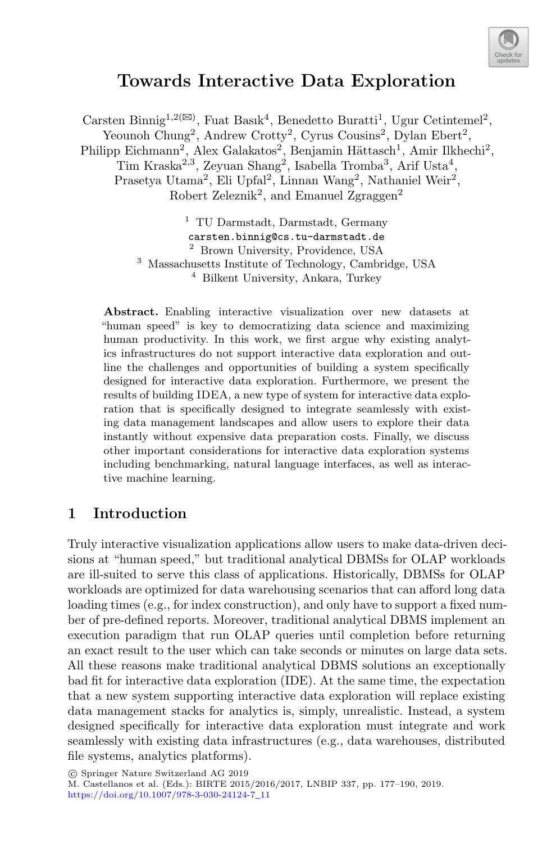

# **Towards Interactive Data Exploration**

Carsten Binnig<sup>1,2( $\boxtimes$ )</sup>, Fuat Basık<sup>4</sup>, Benedetto Buratti<sup>1</sup>, Ugur Cetintemel<sup>2</sup>, Yeounoh Chung<sup>2</sup>, Andrew Crotty<sup>2</sup>, Cyrus Cousins<sup>2</sup>, Dylan Ebert<sup>2</sup>, Philipp Eichmann<sup>2</sup>, Alex Galakatos<sup>2</sup>, Benjamin Hättasch<sup>1</sup>, Amir Ilkhechi<sup>2</sup>,  $\text{Tim Kraska}^{2,3}$ , Zeyuan Shang<sup>2</sup>, Isabella Tromba<sup>3</sup>, Arif Usta<sup>4</sup>, Prasetya Utama<sup>2</sup>, Eli Upfal<sup>2</sup>, Linnan Wang<sup>2</sup>, Nathaniel Weir<sup>2</sup>, Robert Zeleznik<sup>2</sup>, and Emanuel Zgraggen<sup>2</sup>

> TU Darmstadt, Darmstadt, Germany carsten.binnig@cs.tu-darmstadt.de Brown University, Providence, USA Massachusetts Institute of Technology, Cambridge, USA Bilkent University, Ankara, Turkey

**Abstract.** Enabling interactive visualization over new datasets at "human speed" is key to democratizing data science and maximizing human productivity. In this work, we first argue why existing analytics infrastructures do not support interactive data exploration and outline the challenges and opportunities of building a system specifically designed for interactive data exploration. Furthermore, we present the results of building IDEA, a new type of system for interactive data exploration that is specifically designed to integrate seamlessly with existing data management landscapes and allow users to explore their data instantly without expensive data preparation costs. Finally, we discuss other important considerations for interactive data exploration systems including benchmarking, natural language interfaces, as well as interactive machine learning.

# **1 Introduction**

Truly interactive visualization applications allow users to make data-driven decisions at "human speed," but traditional analytical DBMSs for OLAP workloads are ill-suited to serve this class of applications. Historically, DBMSs for OLAP workloads are optimized for data warehousing scenarios that can afford long data loading times (e.g., for index construction), and only have to support a fixed number of pre-defined reports. Moreover, traditional analytical DBMS implement an execution paradigm that run OLAP queries until completion before returning an exact result to the user which can take seconds or minutes on large data sets. All these reasons make traditional analytical DBMS solutions an exceptionally bad fit for interactive data exploration (IDE). At the same time, the expectation that a new system supporting interactive data exploration will replace existing data management stacks for analytics is, simply, unrealistic. Instead, a system designed specifically for interactive data exploration must integrate and work seamlessly with existing data infrastructures (e.g., data warehouses, distributed file systems, analytics platforms).

-c Springer Nature Switzerland AG 2019

M. Castellanos et al. (Eds.): BIRTE 2015/2016/2017, LNBIP 337, pp. 177–190, 2019. [https://doi.org/10.1007/978-3-030-24124-7](https://doi.org/10.1007/978-3-030-24124-7_11)\_11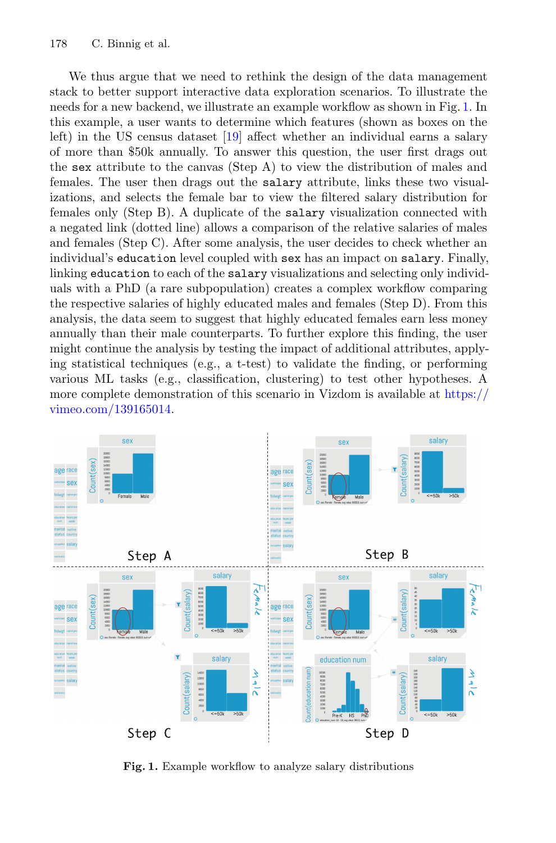We thus argue that we need to rethink the design of the data management stack to better support interactive data exploration scenarios. To illustrate the needs for a new backend, we illustrate an example workflow as shown in Fig. [1.](#page-1-0) In this example, a user wants to determine which features (shown as boxes on the left) in the US census dataset [\[19\]](#page-12-0) affect whether an individual earns a salary of more than \$50k annually. To answer this question, the user first drags out the sex attribute to the canvas (Step A) to view the distribution of males and females. The user then drags out the salary attribute, links these two visualizations, and selects the female bar to view the filtered salary distribution for females only (Step B). A duplicate of the salary visualization connected with a negated link (dotted line) allows a comparison of the relative salaries of males and females (Step C). After some analysis, the user decides to check whether an individual's education level coupled with sex has an impact on salary. Finally, linking education to each of the salary visualizations and selecting only individuals with a PhD (a rare subpopulation) creates a complex workflow comparing the respective salaries of highly educated males and females (Step D). From this analysis, the data seem to suggest that highly educated females earn less money annually than their male counterparts. To further explore this finding, the user might continue the analysis by testing the impact of additional attributes, applying statistical techniques (e.g., a t-test) to validate the finding, or performing various ML tasks (e.g., classification, clustering) to test other hypotheses. A more complete demonstration of this scenario in Vizdom is available at [https://](https://vimeo.com/139165014) [vimeo.com/139165014.](https://vimeo.com/139165014)



<span id="page-1-0"></span>**Fig. 1.** Example workflow to analyze salary distributions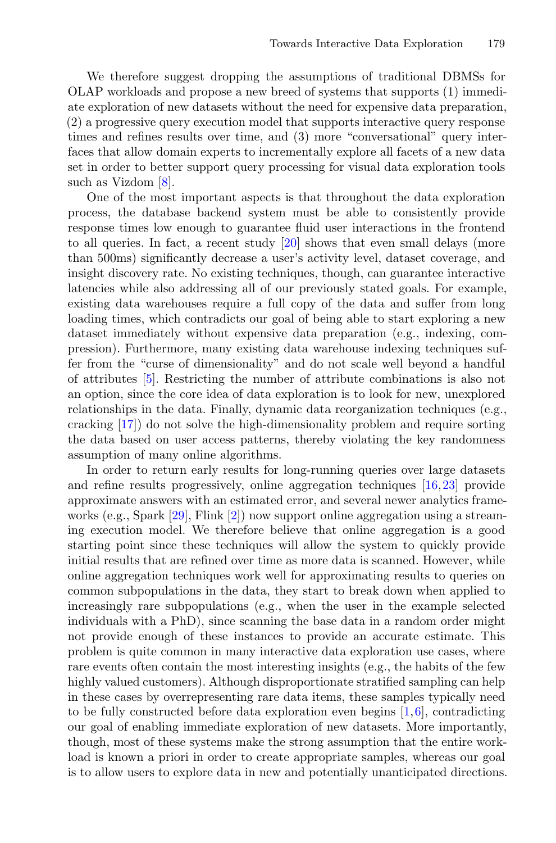We therefore suggest dropping the assumptions of traditional DBMSs for OLAP workloads and propose a new breed of systems that supports (1) immediate exploration of new datasets without the need for expensive data preparation, (2) a progressive query execution model that supports interactive query response times and refines results over time, and (3) more "conversational" query interfaces that allow domain experts to incrementally explore all facets of a new data set in order to better support query processing for visual data exploration tools such as Vizdom [\[8\]](#page-12-1).

One of the most important aspects is that throughout the data exploration process, the database backend system must be able to consistently provide response times low enough to guarantee fluid user interactions in the frontend to all queries. In fact, a recent study [\[20\]](#page-12-2) shows that even small delays (more than 500ms) significantly decrease a user's activity level, dataset coverage, and insight discovery rate. No existing techniques, though, can guarantee interactive latencies while also addressing all of our previously stated goals. For example, existing data warehouses require a full copy of the data and suffer from long loading times, which contradicts our goal of being able to start exploring a new dataset immediately without expensive data preparation (e.g., indexing, compression). Furthermore, many existing data warehouse indexing techniques suffer from the "curse of dimensionality" and do not scale well beyond a handful of attributes [\[5](#page-12-3)]. Restricting the number of attribute combinations is also not an option, since the core idea of data exploration is to look for new, unexplored relationships in the data. Finally, dynamic data reorganization techniques (e.g., cracking [\[17\]](#page-12-4)) do not solve the high-dimensionality problem and require sorting the data based on user access patterns, thereby violating the key randomness assumption of many online algorithms.

In order to return early results for long-running queries over large datasets and refine results progressively, online aggregation techniques [\[16](#page-12-5),[23\]](#page-12-6) provide approximate answers with an estimated error, and several newer analytics frameworks (e.g., Spark [\[29\]](#page-13-0), Flink [\[2](#page-12-7)]) now support online aggregation using a streaming execution model. We therefore believe that online aggregation is a good starting point since these techniques will allow the system to quickly provide initial results that are refined over time as more data is scanned. However, while online aggregation techniques work well for approximating results to queries on common subpopulations in the data, they start to break down when applied to increasingly rare subpopulations (e.g., when the user in the example selected individuals with a PhD), since scanning the base data in a random order might not provide enough of these instances to provide an accurate estimate. This problem is quite common in many interactive data exploration use cases, where rare events often contain the most interesting insights (e.g., the habits of the few highly valued customers). Although disproportionate stratified sampling can help in these cases by overrepresenting rare data items, these samples typically need to be fully constructed before data exploration even begins  $[1,6]$  $[1,6]$ , contradicting our goal of enabling immediate exploration of new datasets. More importantly, though, most of these systems make the strong assumption that the entire workload is known a priori in order to create appropriate samples, whereas our goal is to allow users to explore data in new and potentially unanticipated directions.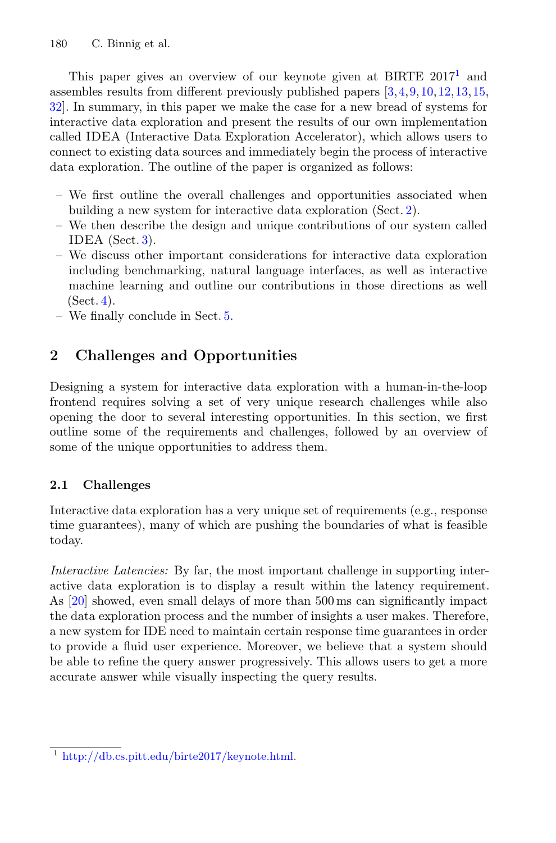This paper gives an overview of our keynote given at BIRTE  $2017<sup>1</sup>$  $2017<sup>1</sup>$  $2017<sup>1</sup>$  and assembles results from different previously published papers [\[3](#page-12-10)[,4](#page-12-11),[9,](#page-12-12)[10](#page-12-13)[,12](#page-12-14)[,13](#page-12-15),[15,](#page-12-16) [32](#page-13-1)]. In summary, in this paper we make the case for a new bread of systems for interactive data exploration and present the results of our own implementation called IDEA (Interactive Data Exploration Accelerator), which allows users to connect to existing data sources and immediately begin the process of interactive data exploration. The outline of the paper is organized as follows:

- We first outline the overall challenges and opportunities associated when building a new system for interactive data exploration (Sect. [2\)](#page-3-1).
- We then describe the design and unique contributions of our system called IDEA (Sect. [3\)](#page-6-0).
- We discuss other important considerations for interactive data exploration including benchmarking, natural language interfaces, as well as interactive machine learning and outline our contributions in those directions as well  $(Sect. 4).$  $(Sect. 4).$  $(Sect. 4).$
- We finally conclude in Sect. [5.](#page-11-0)

# <span id="page-3-1"></span>**2 Challenges and Opportunities**

Designing a system for interactive data exploration with a human-in-the-loop frontend requires solving a set of very unique research challenges while also opening the door to several interesting opportunities. In this section, we first outline some of the requirements and challenges, followed by an overview of some of the unique opportunities to address them.

# **2.1 Challenges**

Interactive data exploration has a very unique set of requirements (e.g., response time guarantees), many of which are pushing the boundaries of what is feasible today.

*Interactive Latencies:* By far, the most important challenge in supporting interactive data exploration is to display a result within the latency requirement. As [\[20\]](#page-12-2) showed, even small delays of more than 500 ms can significantly impact the data exploration process and the number of insights a user makes. Therefore, a new system for IDE need to maintain certain response time guarantees in order to provide a fluid user experience. Moreover, we believe that a system should be able to refine the query answer progressively. This allows users to get a more accurate answer while visually inspecting the query results.

<span id="page-3-0"></span><sup>1</sup> [http://db.cs.pitt.edu/birte2017/keynote.html.](http://db.cs.pitt.edu/birte2017/keynote.html)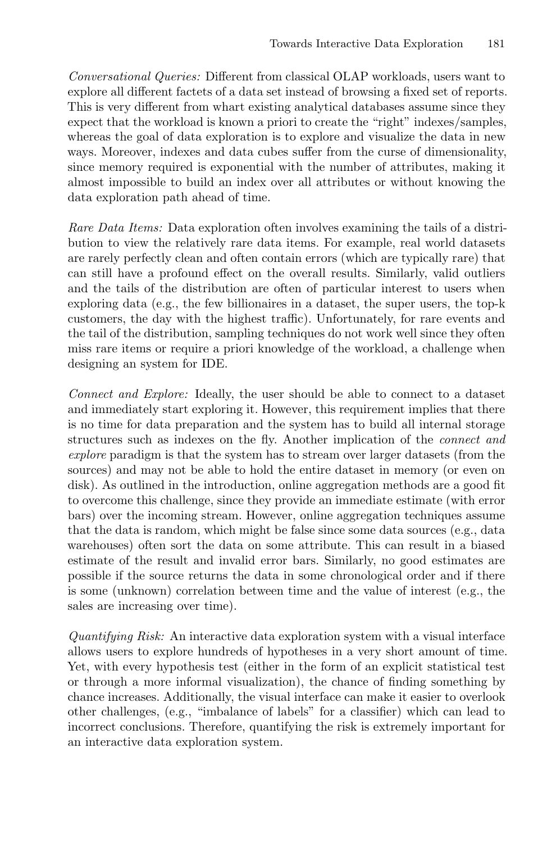*Conversational Queries:* Different from classical OLAP workloads, users want to explore all different factets of a data set instead of browsing a fixed set of reports. This is very different from whart existing analytical databases assume since they expect that the workload is known a priori to create the "right" indexes/samples, whereas the goal of data exploration is to explore and visualize the data in new ways. Moreover, indexes and data cubes suffer from the curse of dimensionality, since memory required is exponential with the number of attributes, making it almost impossible to build an index over all attributes or without knowing the data exploration path ahead of time.

*Rare Data Items:* Data exploration often involves examining the tails of a distribution to view the relatively rare data items. For example, real world datasets are rarely perfectly clean and often contain errors (which are typically rare) that can still have a profound effect on the overall results. Similarly, valid outliers and the tails of the distribution are often of particular interest to users when exploring data (e.g., the few billionaires in a dataset, the super users, the top-k customers, the day with the highest traffic). Unfortunately, for rare events and the tail of the distribution, sampling techniques do not work well since they often miss rare items or require a priori knowledge of the workload, a challenge when designing an system for IDE.

*Connect and Explore:* Ideally, the user should be able to connect to a dataset and immediately start exploring it. However, this requirement implies that there is no time for data preparation and the system has to build all internal storage structures such as indexes on the fly. Another implication of the *connect and explore* paradigm is that the system has to stream over larger datasets (from the sources) and may not be able to hold the entire dataset in memory (or even on disk). As outlined in the introduction, online aggregation methods are a good fit to overcome this challenge, since they provide an immediate estimate (with error bars) over the incoming stream. However, online aggregation techniques assume that the data is random, which might be false since some data sources (e.g., data warehouses) often sort the data on some attribute. This can result in a biased estimate of the result and invalid error bars. Similarly, no good estimates are possible if the source returns the data in some chronological order and if there is some (unknown) correlation between time and the value of interest (e.g., the sales are increasing over time).

*Quantifying Risk:* An interactive data exploration system with a visual interface allows users to explore hundreds of hypotheses in a very short amount of time. Yet, with every hypothesis test (either in the form of an explicit statistical test or through a more informal visualization), the chance of finding something by chance increases. Additionally, the visual interface can make it easier to overlook other challenges, (e.g., "imbalance of labels" for a classifier) which can lead to incorrect conclusions. Therefore, quantifying the risk is extremely important for an interactive data exploration system.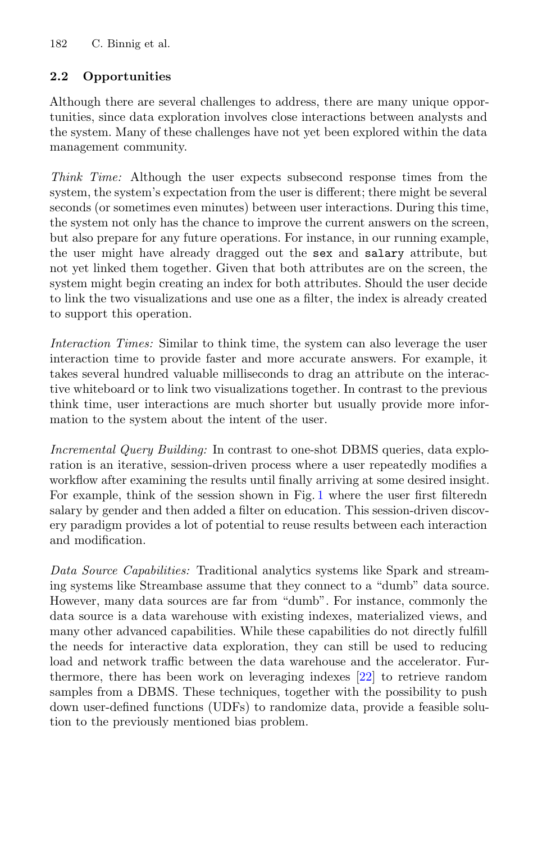### **2.2 Opportunities**

Although there are several challenges to address, there are many unique opportunities, since data exploration involves close interactions between analysts and the system. Many of these challenges have not yet been explored within the data management community.

*Think Time:* Although the user expects subsecond response times from the system, the system's expectation from the user is different; there might be several seconds (or sometimes even minutes) between user interactions. During this time, the system not only has the chance to improve the current answers on the screen, but also prepare for any future operations. For instance, in our running example, the user might have already dragged out the sex and salary attribute, but not yet linked them together. Given that both attributes are on the screen, the system might begin creating an index for both attributes. Should the user decide to link the two visualizations and use one as a filter, the index is already created to support this operation.

*Interaction Times:* Similar to think time, the system can also leverage the user interaction time to provide faster and more accurate answers. For example, it takes several hundred valuable milliseconds to drag an attribute on the interactive whiteboard or to link two visualizations together. In contrast to the previous think time, user interactions are much shorter but usually provide more information to the system about the intent of the user.

*Incremental Query Building:* In contrast to one-shot DBMS queries, data exploration is an iterative, session-driven process where a user repeatedly modifies a workflow after examining the results until finally arriving at some desired insight. For example, think of the session shown in Fig. [1](#page-1-0) where the user first filteredn salary by gender and then added a filter on education. This session-driven discovery paradigm provides a lot of potential to reuse results between each interaction and modification.

*Data Source Capabilities:* Traditional analytics systems like Spark and streaming systems like Streambase assume that they connect to a "dumb" data source. However, many data sources are far from "dumb". For instance, commonly the data source is a data warehouse with existing indexes, materialized views, and many other advanced capabilities. While these capabilities do not directly fulfill the needs for interactive data exploration, they can still be used to reducing load and network traffic between the data warehouse and the accelerator. Furthermore, there has been work on leveraging indexes [\[22](#page-12-17)] to retrieve random samples from a DBMS. These techniques, together with the possibility to push down user-defined functions (UDFs) to randomize data, provide a feasible solution to the previously mentioned bias problem.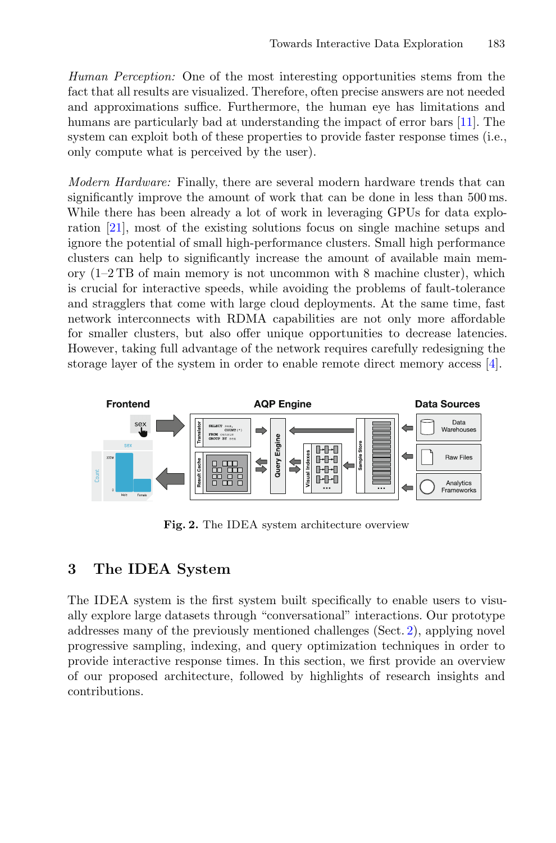*Human Perception:* One of the most interesting opportunities stems from the fact that all results are visualized. Therefore, often precise answers are not needed and approximations suffice. Furthermore, the human eye has limitations and humans are particularly bad at understanding the impact of error bars [\[11\]](#page-12-18). The system can exploit both of these properties to provide faster response times (i.e., only compute what is perceived by the user).

*Modern Hardware:* Finally, there are several modern hardware trends that can significantly improve the amount of work that can be done in less than 500 ms. While there has been already a lot of work in leveraging GPUs for data exploration [\[21\]](#page-12-19), most of the existing solutions focus on single machine setups and ignore the potential of small high-performance clusters. Small high performance clusters can help to significantly increase the amount of available main memory (1–2 TB of main memory is not uncommon with 8 machine cluster), which is crucial for interactive speeds, while avoiding the problems of fault-tolerance and stragglers that come with large cloud deployments. At the same time, fast network interconnects with RDMA capabilities are not only more affordable for smaller clusters, but also offer unique opportunities to decrease latencies. However, taking full advantage of the network requires carefully redesigning the storage layer of the system in order to enable remote direct memory access [\[4\]](#page-12-11).



<span id="page-6-1"></span>**Fig. 2.** The IDEA system architecture overview

# <span id="page-6-0"></span>**3 The IDEA System**

The IDEA system is the first system built specifically to enable users to visually explore large datasets through "conversational" interactions. Our prototype addresses many of the previously mentioned challenges (Sect. [2\)](#page-3-1), applying novel progressive sampling, indexing, and query optimization techniques in order to provide interactive response times. In this section, we first provide an overview of our proposed architecture, followed by highlights of research insights and contributions.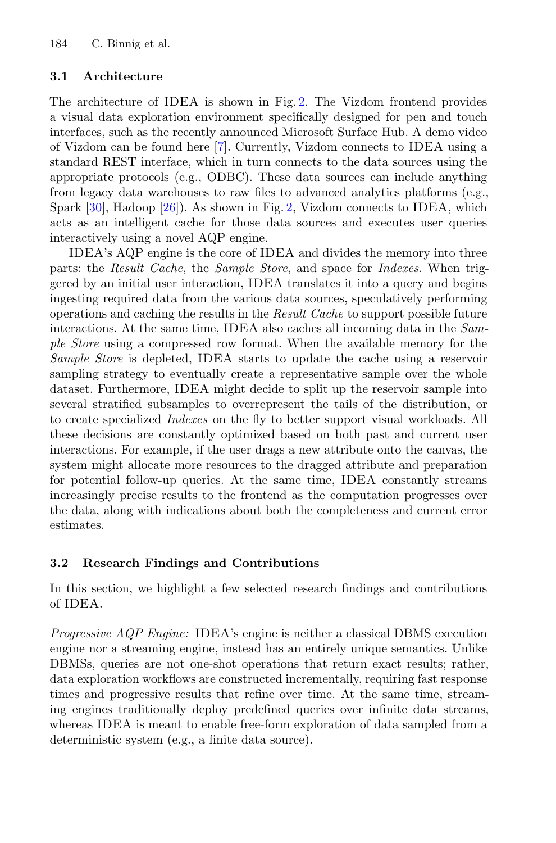### **3.1 Architecture**

The architecture of IDEA is shown in Fig. [2.](#page-6-1) The Vizdom frontend provides a visual data exploration environment specifically designed for pen and touch interfaces, such as the recently announced Microsoft Surface Hub. A demo video of Vizdom can be found here [\[7](#page-12-20)]. Currently, Vizdom connects to IDEA using a standard REST interface, which in turn connects to the data sources using the appropriate protocols (e.g., ODBC). These data sources can include anything from legacy data warehouses to raw files to advanced analytics platforms (e.g., Spark [\[30\]](#page-13-2), Hadoop [\[26\]](#page-12-21)). As shown in Fig. [2,](#page-6-1) Vizdom connects to IDEA, which acts as an intelligent cache for those data sources and executes user queries interactively using a novel AQP engine.

IDEA's AQP engine is the core of IDEA and divides the memory into three parts: the *Result Cache*, the *Sample Store*, and space for *Indexes*. When triggered by an initial user interaction, IDEA translates it into a query and begins ingesting required data from the various data sources, speculatively performing operations and caching the results in the *Result Cache* to support possible future interactions. At the same time, IDEA also caches all incoming data in the *Sample Store* using a compressed row format. When the available memory for the *Sample Store* is depleted, IDEA starts to update the cache using a reservoir sampling strategy to eventually create a representative sample over the whole dataset. Furthermore, IDEA might decide to split up the reservoir sample into several stratified subsamples to overrepresent the tails of the distribution, or to create specialized *Indexes* on the fly to better support visual workloads. All these decisions are constantly optimized based on both past and current user interactions. For example, if the user drags a new attribute onto the canvas, the system might allocate more resources to the dragged attribute and preparation for potential follow-up queries. At the same time, IDEA constantly streams increasingly precise results to the frontend as the computation progresses over the data, along with indications about both the completeness and current error estimates.

### **3.2 Research Findings and Contributions**

In this section, we highlight a few selected research findings and contributions of IDEA.

*Progressive AQP Engine:* IDEA's engine is neither a classical DBMS execution engine nor a streaming engine, instead has an entirely unique semantics. Unlike DBMSs, queries are not one-shot operations that return exact results; rather, data exploration workflows are constructed incrementally, requiring fast response times and progressive results that refine over time. At the same time, streaming engines traditionally deploy predefined queries over infinite data streams, whereas IDEA is meant to enable free-form exploration of data sampled from a deterministic system (e.g., a finite data source).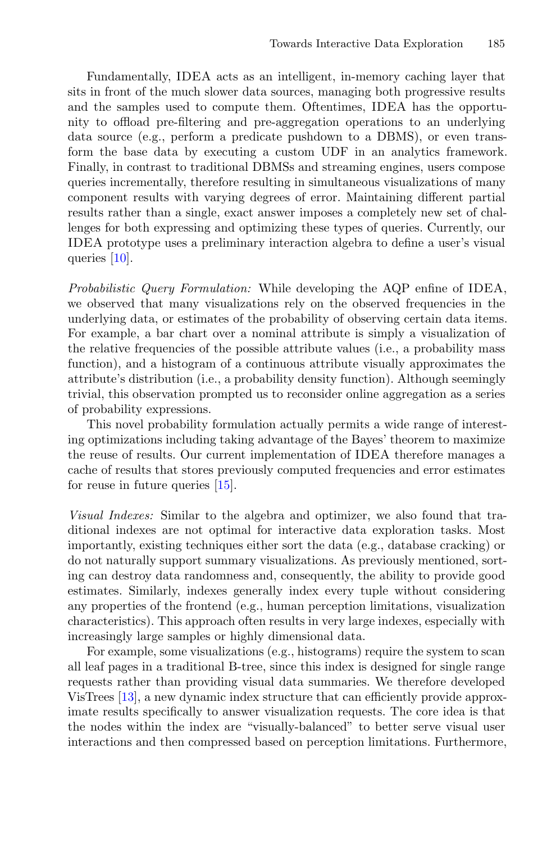Fundamentally, IDEA acts as an intelligent, in-memory caching layer that sits in front of the much slower data sources, managing both progressive results and the samples used to compute them. Oftentimes, IDEA has the opportunity to offload pre-filtering and pre-aggregation operations to an underlying data source (e.g., perform a predicate pushdown to a DBMS), or even transform the base data by executing a custom UDF in an analytics framework. Finally, in contrast to traditional DBMSs and streaming engines, users compose queries incrementally, therefore resulting in simultaneous visualizations of many component results with varying degrees of error. Maintaining different partial results rather than a single, exact answer imposes a completely new set of challenges for both expressing and optimizing these types of queries. Currently, our IDEA prototype uses a preliminary interaction algebra to define a user's visual queries [\[10\]](#page-12-13).

*Probabilistic Query Formulation:* While developing the AQP enfine of IDEA, we observed that many visualizations rely on the observed frequencies in the underlying data, or estimates of the probability of observing certain data items. For example, a bar chart over a nominal attribute is simply a visualization of the relative frequencies of the possible attribute values (i.e., a probability mass function), and a histogram of a continuous attribute visually approximates the attribute's distribution (i.e., a probability density function). Although seemingly trivial, this observation prompted us to reconsider online aggregation as a series of probability expressions.

This novel probability formulation actually permits a wide range of interesting optimizations including taking advantage of the Bayes' theorem to maximize the reuse of results. Our current implementation of IDEA therefore manages a cache of results that stores previously computed frequencies and error estimates for reuse in future queries [\[15\]](#page-12-16).

*Visual Indexes:* Similar to the algebra and optimizer, we also found that traditional indexes are not optimal for interactive data exploration tasks. Most importantly, existing techniques either sort the data (e.g., database cracking) or do not naturally support summary visualizations. As previously mentioned, sorting can destroy data randomness and, consequently, the ability to provide good estimates. Similarly, indexes generally index every tuple without considering any properties of the frontend (e.g., human perception limitations, visualization characteristics). This approach often results in very large indexes, especially with increasingly large samples or highly dimensional data.

For example, some visualizations (e.g., histograms) require the system to scan all leaf pages in a traditional B-tree, since this index is designed for single range requests rather than providing visual data summaries. We therefore developed VisTrees [\[13\]](#page-12-15), a new dynamic index structure that can efficiently provide approximate results specifically to answer visualization requests. The core idea is that the nodes within the index are "visually-balanced" to better serve visual user interactions and then compressed based on perception limitations. Furthermore,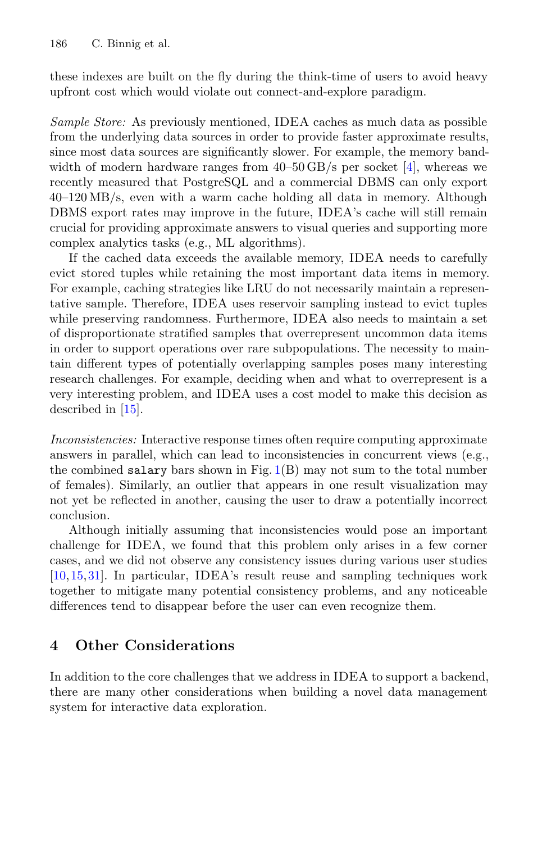these indexes are built on the fly during the think-time of users to avoid heavy upfront cost which would violate out connect-and-explore paradigm.

*Sample Store:* As previously mentioned, IDEA caches as much data as possible from the underlying data sources in order to provide faster approximate results, since most data sources are significantly slower. For example, the memory bandwidth of modern hardware ranges from  $40-50$  GB/s per socket [\[4](#page-12-11)], whereas we recently measured that PostgreSQL and a commercial DBMS can only export 40–120 MB/s, even with a warm cache holding all data in memory. Although DBMS export rates may improve in the future, IDEA's cache will still remain crucial for providing approximate answers to visual queries and supporting more complex analytics tasks (e.g., ML algorithms).

If the cached data exceeds the available memory, IDEA needs to carefully evict stored tuples while retaining the most important data items in memory. For example, caching strategies like LRU do not necessarily maintain a representative sample. Therefore, IDEA uses reservoir sampling instead to evict tuples while preserving randomness. Furthermore, IDEA also needs to maintain a set of disproportionate stratified samples that overrepresent uncommon data items in order to support operations over rare subpopulations. The necessity to maintain different types of potentially overlapping samples poses many interesting research challenges. For example, deciding when and what to overrepresent is a very interesting problem, and IDEA uses a cost model to make this decision as described in [\[15\]](#page-12-16).

*Inconsistencies:* Interactive response times often require computing approximate answers in parallel, which can lead to inconsistencies in concurrent views (e.g., the combined salary bars shown in Fig.  $1(B)$  $1(B)$  may not sum to the total number of females). Similarly, an outlier that appears in one result visualization may not yet be reflected in another, causing the user to draw a potentially incorrect conclusion.

Although initially assuming that inconsistencies would pose an important challenge for IDEA, we found that this problem only arises in a few corner cases, and we did not observe any consistency issues during various user studies [\[10](#page-12-13),[15,](#page-12-16)[31\]](#page-13-3). In particular, IDEA's result reuse and sampling techniques work together to mitigate many potential consistency problems, and any noticeable differences tend to disappear before the user can even recognize them.

# <span id="page-9-0"></span>**4 Other Considerations**

In addition to the core challenges that we address in IDEA to support a backend, there are many other considerations when building a novel data management system for interactive data exploration.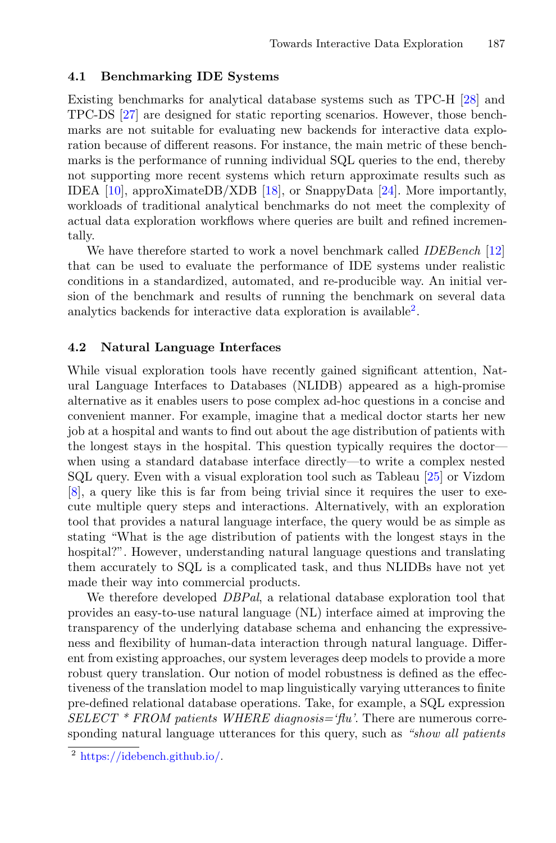#### **4.1 Benchmarking IDE Systems**

Existing benchmarks for analytical database systems such as TPC-H [\[28\]](#page-13-4) and TPC-DS [\[27](#page-12-22)] are designed for static reporting scenarios. However, those benchmarks are not suitable for evaluating new backends for interactive data exploration because of different reasons. For instance, the main metric of these benchmarks is the performance of running individual SQL queries to the end, thereby not supporting more recent systems which return approximate results such as IDEA [\[10](#page-12-13)], approXimateDB/XDB [\[18\]](#page-12-23), or SnappyData [\[24\]](#page-12-24). More importantly, workloads of traditional analytical benchmarks do not meet the complexity of actual data exploration workflows where queries are built and refined incrementally.

We have therefore started to work a novel benchmark called *IDEBench* [\[12\]](#page-12-14) that can be used to evaluate the performance of IDE systems under realistic conditions in a standardized, automated, and re-producible way. An initial version of the benchmark and results of running the benchmark on several data analytics backends for interactive data exploration is available<sup>[2](#page-10-0)</sup>.

#### **4.2 Natural Language Interfaces**

While visual exploration tools have recently gained significant attention, Natural Language Interfaces to Databases (NLIDB) appeared as a high-promise alternative as it enables users to pose complex ad-hoc questions in a concise and convenient manner. For example, imagine that a medical doctor starts her new job at a hospital and wants to find out about the age distribution of patients with the longest stays in the hospital. This question typically requires the doctor when using a standard database interface directly—to write a complex nested SQL query. Even with a visual exploration tool such as Tableau [\[25\]](#page-12-25) or Vizdom [\[8](#page-12-1)], a query like this is far from being trivial since it requires the user to execute multiple query steps and interactions. Alternatively, with an exploration tool that provides a natural language interface, the query would be as simple as stating "What is the age distribution of patients with the longest stays in the hospital?". However, understanding natural language questions and translating them accurately to SQL is a complicated task, and thus NLIDBs have not yet made their way into commercial products.

We therefore developed *DBPal*, a relational database exploration tool that provides an easy-to-use natural language (NL) interface aimed at improving the transparency of the underlying database schema and enhancing the expressiveness and flexibility of human-data interaction through natural language. Different from existing approaches, our system leverages deep models to provide a more robust query translation. Our notion of model robustness is defined as the effectiveness of the translation model to map linguistically varying utterances to finite pre-defined relational database operations. Take, for example, a SQL expression *SELECT \* FROM patients WHERE diagnosis='flu'*. There are numerous corresponding natural language utterances for this query, such as *"show all patients*

<span id="page-10-0"></span><sup>2</sup> [https://idebench.github.io/.](https://idebench.github.io/)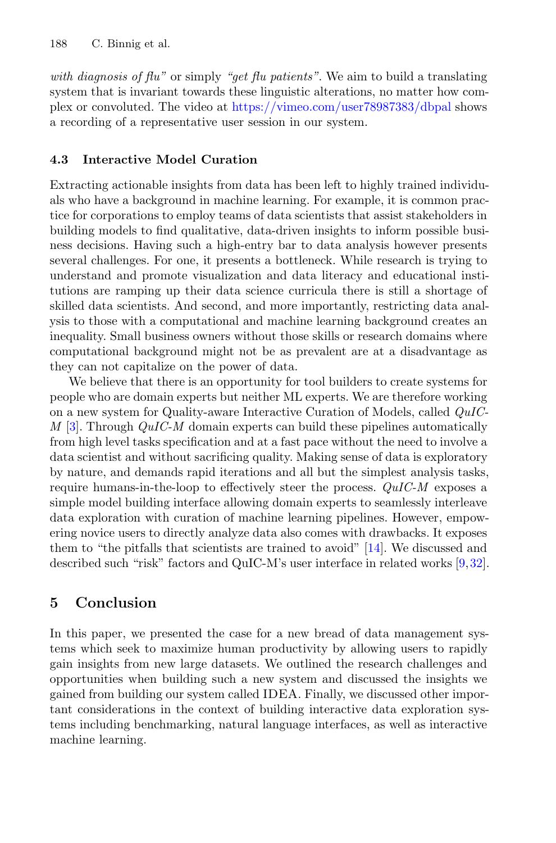*with diagnosis of flu"* or simply *"get flu patients"*. We aim to build a translating system that is invariant towards these linguistic alterations, no matter how complex or convoluted. The video at <https://vimeo.com/user78987383/dbpal> shows a recording of a representative user session in our system.

### **4.3 Interactive Model Curation**

Extracting actionable insights from data has been left to highly trained individuals who have a background in machine learning. For example, it is common practice for corporations to employ teams of data scientists that assist stakeholders in building models to find qualitative, data-driven insights to inform possible business decisions. Having such a high-entry bar to data analysis however presents several challenges. For one, it presents a bottleneck. While research is trying to understand and promote visualization and data literacy and educational institutions are ramping up their data science curricula there is still a shortage of skilled data scientists. And second, and more importantly, restricting data analysis to those with a computational and machine learning background creates an inequality. Small business owners without those skills or research domains where computational background might not be as prevalent are at a disadvantage as they can not capitalize on the power of data.

We believe that there is an opportunity for tool builders to create systems for people who are domain experts but neither ML experts. We are therefore working on a new system for Quality-aware Interactive Curation of Models, called *QuIC-M* [\[3\]](#page-12-10). Through *QuIC-M* domain experts can build these pipelines automatically from high level tasks specification and at a fast pace without the need to involve a data scientist and without sacrificing quality. Making sense of data is exploratory by nature, and demands rapid iterations and all but the simplest analysis tasks, require humans-in-the-loop to effectively steer the process. *QuIC-M* exposes a simple model building interface allowing domain experts to seamlessly interleave data exploration with curation of machine learning pipelines. However, empowering novice users to directly analyze data also comes with drawbacks. It exposes them to "the pitfalls that scientists are trained to avoid" [\[14\]](#page-12-26). We discussed and described such "risk" factors and QuIC-M's user interface in related works [\[9,](#page-12-12)[32\]](#page-13-1).

# <span id="page-11-0"></span>**5 Conclusion**

In this paper, we presented the case for a new bread of data management systems which seek to maximize human productivity by allowing users to rapidly gain insights from new large datasets. We outlined the research challenges and opportunities when building such a new system and discussed the insights we gained from building our system called IDEA. Finally, we discussed other important considerations in the context of building interactive data exploration systems including benchmarking, natural language interfaces, as well as interactive machine learning.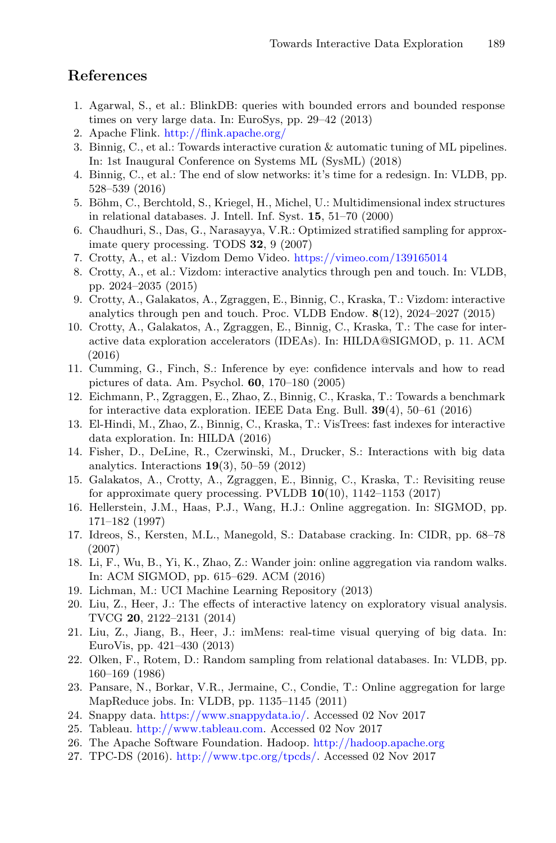### **References**

- <span id="page-12-8"></span>1. Agarwal, S., et al.: BlinkDB: queries with bounded errors and bounded response times on very large data. In: EuroSys, pp. 29–42 (2013)
- <span id="page-12-7"></span>2. Apache Flink. <http://flink.apache.org/>
- <span id="page-12-10"></span>3. Binnig, C., et al.: Towards interactive curation & automatic tuning of ML pipelines. In: 1st Inaugural Conference on Systems ML (SysML) (2018)
- <span id="page-12-11"></span>4. Binnig, C., et al.: The end of slow networks: it's time for a redesign. In: VLDB, pp. 528–539 (2016)
- <span id="page-12-3"></span>5. Böhm, C., Berchtold, S., Kriegel, H., Michel, U.: Multidimensional index structures in relational databases. J. Intell. Inf. Syst. **15**, 51–70 (2000)
- <span id="page-12-9"></span>6. Chaudhuri, S., Das, G., Narasayya, V.R.: Optimized stratified sampling for approximate query processing. TODS **32**, 9 (2007)
- <span id="page-12-20"></span>7. Crotty, A., et al.: Vizdom Demo Video. <https://vimeo.com/139165014>
- <span id="page-12-1"></span>8. Crotty, A., et al.: Vizdom: interactive analytics through pen and touch. In: VLDB, pp. 2024–2035 (2015)
- <span id="page-12-12"></span>9. Crotty, A., Galakatos, A., Zgraggen, E., Binnig, C., Kraska, T.: Vizdom: interactive analytics through pen and touch. Proc. VLDB Endow. **8**(12), 2024–2027 (2015)
- <span id="page-12-13"></span>10. Crotty, A., Galakatos, A., Zgraggen, E., Binnig, C., Kraska, T.: The case for interactive data exploration accelerators (IDEAs). In: HILDA@SIGMOD, p. 11. ACM (2016)
- <span id="page-12-18"></span>11. Cumming, G., Finch, S.: Inference by eye: confidence intervals and how to read pictures of data. Am. Psychol. **60**, 170–180 (2005)
- <span id="page-12-14"></span>12. Eichmann, P., Zgraggen, E., Zhao, Z., Binnig, C., Kraska, T.: Towards a benchmark for interactive data exploration. IEEE Data Eng. Bull. **39**(4), 50–61 (2016)
- <span id="page-12-15"></span>13. El-Hindi, M., Zhao, Z., Binnig, C., Kraska, T.: VisTrees: fast indexes for interactive data exploration. In: HILDA (2016)
- <span id="page-12-26"></span>14. Fisher, D., DeLine, R., Czerwinski, M., Drucker, S.: Interactions with big data analytics. Interactions **19**(3), 50–59 (2012)
- <span id="page-12-16"></span>15. Galakatos, A., Crotty, A., Zgraggen, E., Binnig, C., Kraska, T.: Revisiting reuse for approximate query processing. PVLDB **10**(10), 1142–1153 (2017)
- <span id="page-12-5"></span>16. Hellerstein, J.M., Haas, P.J., Wang, H.J.: Online aggregation. In: SIGMOD, pp. 171–182 (1997)
- <span id="page-12-4"></span>17. Idreos, S., Kersten, M.L., Manegold, S.: Database cracking. In: CIDR, pp. 68–78 (2007)
- <span id="page-12-23"></span>18. Li, F., Wu, B., Yi, K., Zhao, Z.: Wander join: online aggregation via random walks. In: ACM SIGMOD, pp. 615–629. ACM (2016)
- <span id="page-12-0"></span>19. Lichman, M.: UCI Machine Learning Repository (2013)
- <span id="page-12-2"></span>20. Liu, Z., Heer, J.: The effects of interactive latency on exploratory visual analysis. TVCG **20**, 2122–2131 (2014)
- <span id="page-12-19"></span>21. Liu, Z., Jiang, B., Heer, J.: imMens: real-time visual querying of big data. In: EuroVis, pp. 421–430 (2013)
- <span id="page-12-17"></span>22. Olken, F., Rotem, D.: Random sampling from relational databases. In: VLDB, pp. 160–169 (1986)
- <span id="page-12-6"></span>23. Pansare, N., Borkar, V.R., Jermaine, C., Condie, T.: Online aggregation for large MapReduce jobs. In: VLDB, pp. 1135–1145 (2011)
- <span id="page-12-24"></span>24. Snappy data. [https://www.snappydata.io/.](https://www.snappydata.io/) Accessed 02 Nov 2017
- <span id="page-12-25"></span>25. Tableau. [http://www.tableau.com.](http://www.tableau.com) Accessed 02 Nov 2017
- <span id="page-12-21"></span>26. The Apache Software Foundation. Hadoop. <http://hadoop.apache.org>
- <span id="page-12-22"></span>27. TPC-DS (2016). [http://www.tpc.org/tpcds/.](http://www.tpc.org/tpcds/) Accessed 02 Nov 2017